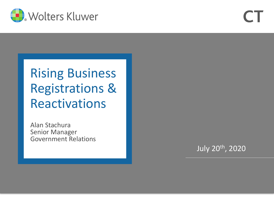

# Rising Business Registrations & Reactivations

Alan Stachura Senior Manager Government Relations

July 20th, 2020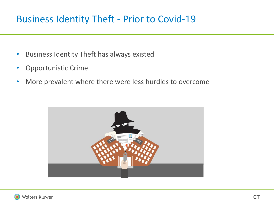## Business Identity Theft - Prior to Covid-19

- Business Identity Theft has always existed
- Opportunistic Crime
- More prevalent where there were less hurdles to overcome



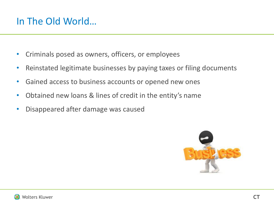# In The Old World…

- Criminals posed as owners, officers, or employees
- Reinstated legitimate businesses by paying taxes or filing documents
- Gained access to business accounts or opened new ones
- Obtained new loans & lines of credit in the entity's name
- Disappeared after damage was caused

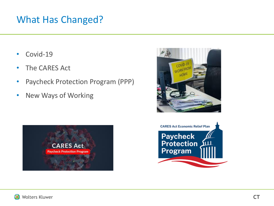## What Has Changed?

- Covid-19
- The CARES Act
- Paycheck Protection Program (PPP)
- New Ways of Working





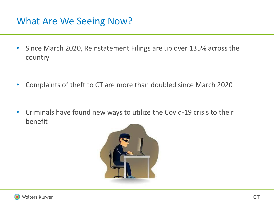# What Are We Seeing Now?

- Since March 2020, Reinstatement Filings are up over 135% across the country
- Complaints of theft to CT are more than doubled since March 2020
- Criminals have found new ways to utilize the Covid-19 crisis to their benefit



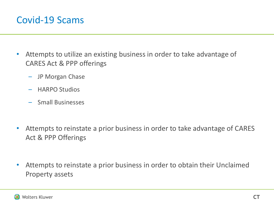#### Covid-19 Scams

- Attempts to utilize an existing business in order to take advantage of CARES Act & PPP offerings
	- JP Morgan Chase
	- HARPO Studios
	- Small Businesses
- Attempts to reinstate a prior business in order to take advantage of CARES Act & PPP Offerings
- Attempts to reinstate a prior business in order to obtain their Unclaimed Property assets

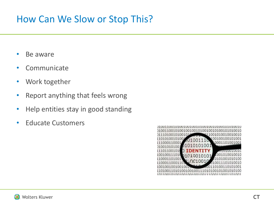## How Can We Slow or Stop This?

- Be aware
- Communicate
- Work together
- Report anything that feels wrong
- Help entities stay in good standing
- Educate Customers

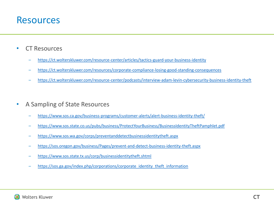#### Resources

- CT Resources
	- <https://ct.wolterskluwer.com/resource-center/articles/tactics-guard-your-business-identity>
	- <https://ct.wolterskluwer.com/resources/corporate-compliance-losing-good-standing-consequences>
	- <https://ct.wolterskluwer.com/resource-center/podcasts/interview-adam-levin-cybersecurity-business-identity-theft>
- A Sampling of State Resources
	- <https://www.sos.ca.gov/business-programs/customer-alerts/alert-business-identity-theft/>
	- <https://www.sos.state.co.us/pubs/business/ProtectYourBusiness/BusinessIdentityTheftPamphlet.pdf>
	- <https://www.sos.wa.gov/corps/preventanddetectbusinessidentitytheft.aspx>
	- <https://sos.oregon.gov/business/Pages/prevent-and-detect-business-identity-theft.aspx>
	- <https://www.sos.state.tx.us/corp/businessidentitytheft.shtml>
	- [https://sos.ga.gov/index.php/corporations/corporate\\_identity\\_theft\\_information](https://sos.ga.gov/index.php/corporations/corporate_identity_theft_information)